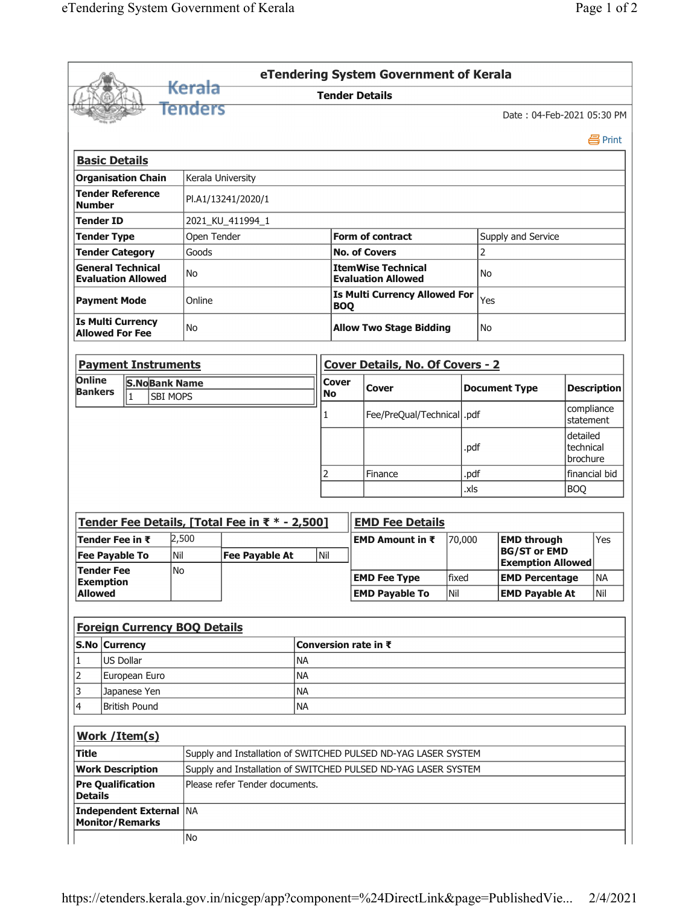|                                                       |                                                                                                  |                    |     |                                                        |                             | eTendering System Government of Kerala |        |                       |                                                 |                         |                                   |  |  |  |
|-------------------------------------------------------|--------------------------------------------------------------------------------------------------|--------------------|-----|--------------------------------------------------------|-----------------------------|----------------------------------------|--------|-----------------------|-------------------------------------------------|-------------------------|-----------------------------------|--|--|--|
|                                                       | Kerala                                                                                           |                    |     |                                                        |                             | <b>Tender Details</b>                  |        |                       |                                                 |                         |                                   |  |  |  |
|                                                       | <b>Tenders</b>                                                                                   |                    |     |                                                        |                             |                                        |        |                       | Date: 04-Feb-2021 05:30 PM                      |                         |                                   |  |  |  |
|                                                       |                                                                                                  |                    |     |                                                        |                             |                                        |        |                       |                                                 |                         | 昌 Print                           |  |  |  |
| <b>Basic Details</b>                                  |                                                                                                  |                    |     |                                                        |                             |                                        |        |                       |                                                 |                         |                                   |  |  |  |
| <b>Organisation Chain</b>                             |                                                                                                  | Kerala University  |     |                                                        |                             |                                        |        |                       |                                                 |                         |                                   |  |  |  |
| <b>Tender Reference</b><br><b>Number</b>              |                                                                                                  | PI.A1/13241/2020/1 |     |                                                        |                             |                                        |        |                       |                                                 |                         |                                   |  |  |  |
| <b>Tender ID</b>                                      | 2021_KU_411994_1                                                                                 |                    |     |                                                        |                             |                                        |        |                       |                                                 |                         |                                   |  |  |  |
| <b>Tender Type</b>                                    | Open Tender                                                                                      |                    |     | <b>Form of contract</b>                                |                             | Supply and Service                     |        |                       |                                                 |                         |                                   |  |  |  |
| <b>Tender Category</b>                                | Goods                                                                                            |                    |     |                                                        |                             | <b>No. of Covers</b>                   | 2      |                       |                                                 |                         |                                   |  |  |  |
| <b>General Technical</b><br><b>Evaluation Allowed</b> | No                                                                                               |                    |     | <b>ItemWise Technical</b><br><b>Evaluation Allowed</b> |                             |                                        |        |                       | No.                                             |                         |                                   |  |  |  |
| <b>Payment Mode</b>                                   | Online                                                                                           |                    |     | <b>Is Multi Currency Allowed For</b><br><b>BOQ</b>     |                             |                                        |        |                       | Yes                                             |                         |                                   |  |  |  |
| <b>Is Multi Currency</b><br><b>Allowed For Fee</b>    | No                                                                                               |                    |     | <b>Allow Two Stage Bidding</b>                         |                             |                                        |        |                       | No.                                             |                         |                                   |  |  |  |
| <b>Payment Instruments</b>                            |                                                                                                  |                    |     |                                                        |                             | Cover Details, No. Of Covers - 2       |        |                       |                                                 |                         |                                   |  |  |  |
| Online<br><b>S.NoBank Name</b>                        |                                                                                                  |                    |     | <b>Cover</b>                                           |                             |                                        |        |                       |                                                 |                         |                                   |  |  |  |
| <b>Bankers</b><br>1<br><b>SBI MOPS</b>                |                                                                                                  |                    |     | <b>No</b>                                              |                             | Cover                                  |        |                       | <b>Document Type</b>                            |                         | <b>Description</b>                |  |  |  |
|                                                       |                                                                                                  |                    |     | $\mathbf{1}$                                           | Fee/PreQual/Technical  .pdf |                                        |        |                       |                                                 | compliance<br>statement |                                   |  |  |  |
|                                                       |                                                                                                  |                    |     |                                                        |                             |                                        |        | .pdf                  |                                                 |                         | detailed<br>technical<br>brochure |  |  |  |
|                                                       |                                                                                                  |                    |     | 2                                                      |                             | Finance                                |        | .pdf                  |                                                 |                         | financial bid                     |  |  |  |
|                                                       |                                                                                                  |                    |     |                                                        |                             |                                        | .xls   |                       |                                                 |                         | <b>BOQ</b>                        |  |  |  |
|                                                       |                                                                                                  |                    |     |                                                        |                             |                                        |        |                       |                                                 |                         |                                   |  |  |  |
| Tender Fee Details, [Total Fee in ₹ * - 2,500]        |                                                                                                  |                    |     |                                                        |                             | <b>EMD Fee Details</b>                 |        |                       |                                                 |                         |                                   |  |  |  |
| Tender Fee in ₹                                       | 2,500                                                                                            |                    |     |                                                        | EMD Amount in ₹             |                                        | 70,000 | <b>EMD through</b>    |                                                 |                         | Yes                               |  |  |  |
| <b>Fee Payable To</b><br><b>Tender Fee</b>            | Nil<br><b>Fee Payable At</b><br>No                                                               |                    | Nil |                                                        |                             |                                        |        |                       | <b>BG/ST or EMD</b><br><b>Exemption Allowed</b> |                         |                                   |  |  |  |
| <b>Exemption</b>                                      |                                                                                                  |                    |     |                                                        |                             | <b>EMD Fee Type</b>                    | fixed  |                       | <b>EMD Percentage</b>                           |                         | <b>NA</b>                         |  |  |  |
| <b>Allowed</b>                                        |                                                                                                  |                    |     |                                                        | <b>EMD Payable To</b>       |                                        | Nil    | <b>EMD Payable At</b> |                                                 |                         | Nil                               |  |  |  |
|                                                       |                                                                                                  |                    |     |                                                        |                             |                                        |        |                       |                                                 |                         |                                   |  |  |  |
| <b>Foreign Currency BOQ Details</b>                   |                                                                                                  |                    |     |                                                        |                             |                                        |        |                       |                                                 |                         |                                   |  |  |  |
| S.No Currency                                         |                                                                                                  |                    |     |                                                        |                             | Conversion rate in ₹                   |        |                       |                                                 |                         |                                   |  |  |  |
| US Dollar<br><b>NA</b><br>1                           |                                                                                                  |                    |     |                                                        |                             |                                        |        |                       |                                                 |                         |                                   |  |  |  |
| 2<br><b>NA</b><br>European Euro                       |                                                                                                  |                    |     |                                                        |                             |                                        |        |                       |                                                 |                         |                                   |  |  |  |
| 3<br>Japanese Yen<br><b>NA</b>                        |                                                                                                  |                    |     |                                                        |                             |                                        |        |                       |                                                 |                         |                                   |  |  |  |
| <b>British Pound</b><br><b>NA</b><br>4                |                                                                                                  |                    |     |                                                        |                             |                                        |        |                       |                                                 |                         |                                   |  |  |  |
| Work / Item(s)                                        |                                                                                                  |                    |     |                                                        |                             |                                        |        |                       |                                                 |                         |                                   |  |  |  |
| Title                                                 | Supply and Installation of SWITCHED PULSED ND-YAG LASER SYSTEM                                   |                    |     |                                                        |                             |                                        |        |                       |                                                 |                         |                                   |  |  |  |
| <b>Work Description</b><br><b>Pre Qualification</b>   | Supply and Installation of SWITCHED PULSED ND-YAG LASER SYSTEM<br>Please refer Tender documents. |                    |     |                                                        |                             |                                        |        |                       |                                                 |                         |                                   |  |  |  |
| <b>Details</b><br>Independent External NA             |                                                                                                  |                    |     |                                                        |                             |                                        |        |                       |                                                 |                         |                                   |  |  |  |
| <b>Monitor/Remarks</b>                                | No                                                                                               |                    |     |                                                        |                             |                                        |        |                       |                                                 |                         |                                   |  |  |  |

÷,